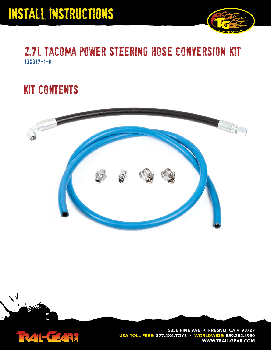

## 2.7l tacoma power steering hose conversion kit 130317-1-k

## kit contents



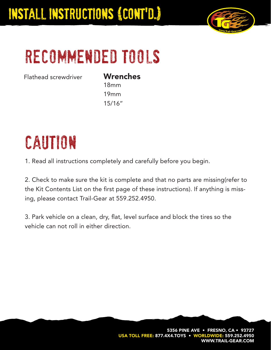

# recommended tools

Flathead screwdriver

### **Wrenches**

18mm 19mm 15/16"

# caution

1. Read all instructions completely and carefully before you begin.

2. Check to make sure the kit is complete and that no parts are missing(refer to the Kit Contents List on the first page of these instructions). If anything is missing, please contact Trail-Gear at 559.252.4950.

3. Park vehicle on a clean, dry, flat, level surface and block the tires so the vehicle can not roll in either direction.

> **5356 PINE AVE • FRESNO, CA • 93727** USA TOLL FREE: 877.4X4.TOYS • WORLDWIDE: 559.252.4 **WWW.TRAIL-GEAR.COM**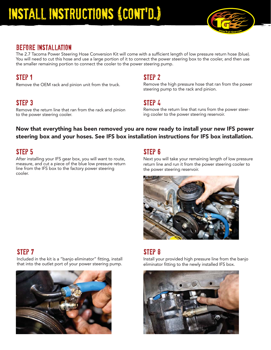

### before installation

The 2.7 Tacoma Power Steering Hose Conversion Kit will come with a sufficient length of low pressure return hose (blue). You will need to cut this hose and use a large portion of it to connect the power steering box to the cooler, and then use the smaller remaining portion to connect the cooler to the power steering pump.

### step 1

Remove the OEM rack and pinion unit from the truck.

### step 3

Remove the return line that ran from the rack and pinion to the power steering cooler.

#### step 2

Remove the high pressure hose that ran from the power steering pump to the rack and pinion.

### step 4

Remove the return line that runs from the power steering cooler to the power steering reservoir.

#### **Now that everything has been removed you are now ready to install your new IFS power steering box and your hoses. See IFS box installation instructions for IFS box installation.**



After installing your IFS gear box, you will want to route, measure, and cut a piece of the blue low pressure return line from the IFS box to the factory power steering cooler.

Next you will take your remaining length of low pressure return line and run it from the power steering cooler to the power steering reservoir.



Included in the kit is a "banjo eliminator" fitting, install that into the outlet port of your power steering pump.



### step 7 step 8 step 8 step 8 step 8 step 8 step 8 step 8 step 8 step 8 step 8 step 8 step 8 step 8 step 8 step

Install your provided high pressure line from the banjo eliminator fitting to the newly installed IFS box.